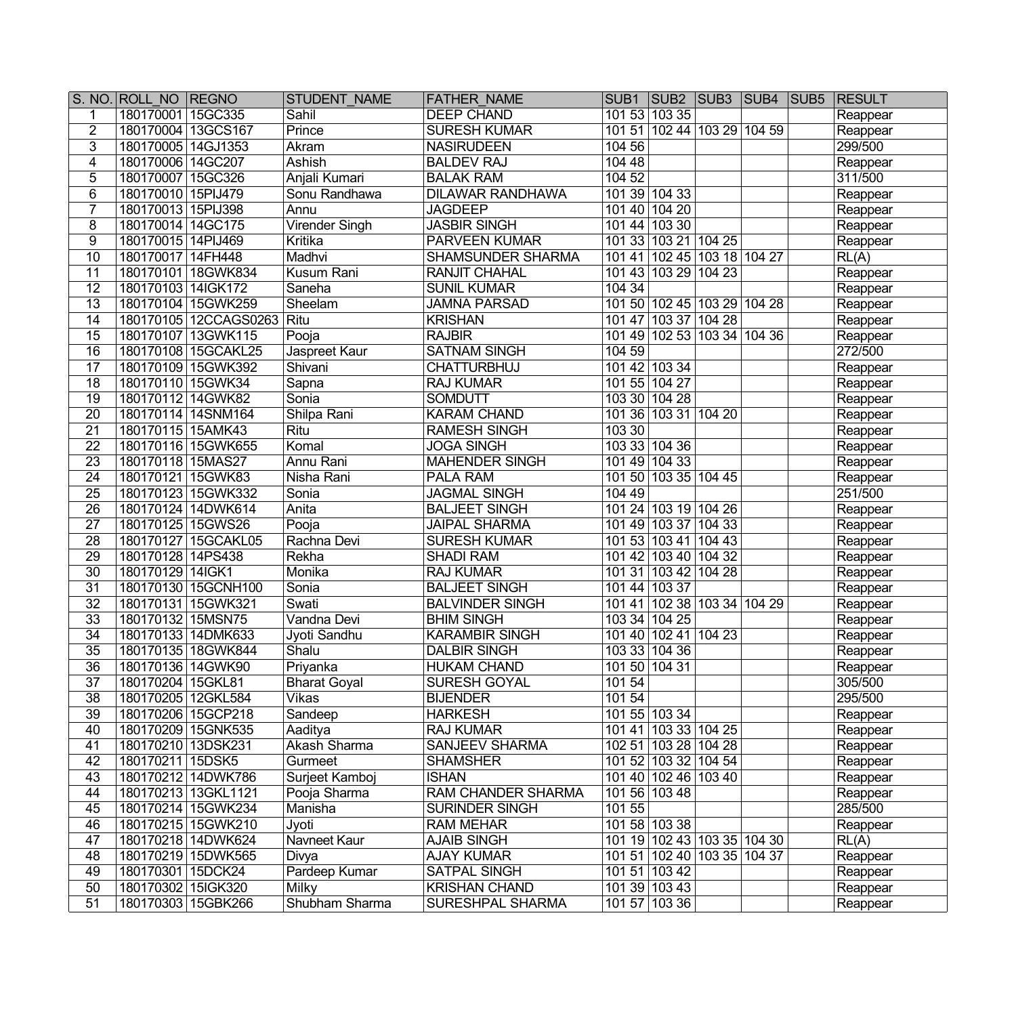|                 | S. NO. ROLL NO REGNO |                       | STUDENT NAME          | <b>FATHER NAME</b>        |               |                             |  | SUB1   SUB2   SUB3   SUB4   SUB5   RESULT |
|-----------------|----------------------|-----------------------|-----------------------|---------------------------|---------------|-----------------------------|--|-------------------------------------------|
| 1               | 180170001 15GC335    |                       | Sahil                 | <b>DEEP CHAND</b>         |               | 101 53 103 35               |  | Reappear                                  |
| $\overline{2}$  | 180170004 13GCS167   |                       | Prince                | <b>SURESH KUMAR</b>       | 10151         | 102 44 103 29 104 59        |  | Reappear                                  |
| 3               | 180170005 14GJ1353   |                       | Akram                 | <b>NASIRUDEEN</b>         | 104 56        |                             |  | 299/500                                   |
| $\overline{4}$  | 180170006 14GC207    |                       | Ashish                | <b>BALDEV RAJ</b>         | 104 48        |                             |  | Reappear                                  |
| 5               | 180170007 15GC326    |                       | Anjali Kumari         | <b>BALAK RAM</b>          | 104 52        |                             |  | 311/500                                   |
| $6\phantom{a}$  | 180170010 15PIJ479   |                       | Sonu Randhawa         | <b>DILAWAR RANDHAWA</b>   |               | 101 39 104 33               |  | Reappear                                  |
| $\overline{7}$  | 180170013 15PIJ398   |                       | Annu                  | <b>JAGDEEP</b>            |               | 101 40 104 20               |  | Reappear                                  |
| 8               | 180170014 14GC175    |                       | <b>Virender Singh</b> | <b>JASBIR SINGH</b>       |               | 101 44 103 30               |  | Reappear                                  |
| 9               | 180170015 14PIJ469   |                       | Kritika               | PARVEEN KUMAR             |               | 101 33 103 21 104 25        |  | Reappear                                  |
| 10              | 180170017 14FH448    |                       | Madhvi                | SHAMSUNDER SHARMA         |               | 101 41 102 45 103 18 104 27 |  | RL(A)                                     |
| 11              |                      | 180170101 18GWK834    | Kusum Rani            | <b>RANJIT CHAHAL</b>      |               | 101 43 103 29 104 23        |  | Reappear                                  |
| 12              | 180170103 14IGK172   |                       | Saneha                | <b>SUNIL KUMAR</b>        | 104 34        |                             |  | Reappear                                  |
| 13              |                      | 180170104 15GWK259    | Sheelam               | <b>JAMNA PARSAD</b>       |               | 101 50 102 45 103 29 104 28 |  | Reappear                                  |
| 14              |                      | 180170105 12CCAGS0263 | Ritu                  | <b>KRISHAN</b>            |               | 101 47 103 37 104 28        |  | Reappear                                  |
| 15              |                      | 180170107 13GWK115    | Pooja                 | <b>RAJBIR</b>             |               | 101 49 102 53 103 34 104 36 |  | Reappear                                  |
| 16              |                      | 180170108 15GCAKL25   | Jaspreet Kaur         | <b>SATNAM SINGH</b>       | 104 59        |                             |  | 272/500                                   |
| 17              |                      | 180170109 15GWK392    | Shivani               | <b>CHATTURBHUJ</b>        |               | 101 42 103 34               |  | Reappear                                  |
| 18              | 180170110 15GWK34    |                       | Sapna                 | <b>RAJ KUMAR</b>          |               | 101 55 104 27               |  | Reappear                                  |
| 19              | 180170112 14GWK82    |                       | Sonia                 | <b>SOMDUTT</b>            |               | 103 30 104 28               |  | Reappear                                  |
| 20              | 180170114 14SNM164   |                       | Shilpa Rani           | <b>KARAM CHAND</b>        |               | 101 36 103 31 104 20        |  | Reappear                                  |
| 21              | 180170115 15AMK43    |                       | Ritu                  | <b>RAMESH SINGH</b>       | 103 30        |                             |  | Reappear                                  |
| 22              |                      | 180170116 15GWK655    | Komal                 | <b>JOGA SINGH</b>         |               | 103 33 104 36               |  | Reappear                                  |
| 23              | 180170118 15MAS27    |                       | Annu Rani             | <b>MAHENDER SINGH</b>     |               | 101 49 104 33               |  | Reappear                                  |
| 24              | 180170121   15GWK83  |                       | Nisha Rani            | <b>PALA RAM</b>           |               | 101 50 103 35 104 45        |  | Reappear                                  |
| 25              |                      | 180170123 15GWK332    | Sonia                 | <b>JAGMAL SINGH</b>       | 104 49        |                             |  | 251/500                                   |
| 26              | 180170124 14DWK614   |                       | Anita                 | <b>BALJEET SINGH</b>      | 10124         | 103 19 104 26               |  | Reappear                                  |
| $\overline{27}$ | 180170125 15GWS26    |                       | Pooja                 | <b>JAIPAL SHARMA</b>      |               | 101 49 103 37 104 33        |  | Reappear                                  |
| 28              |                      | 180170127 15GCAKL05   | Rachna Devi           | <b>SURESH KUMAR</b>       |               | 101 53 103 41 104 43        |  | Reappear                                  |
| 29              | 180170128 14PS438    |                       | Rekha                 | <b>SHADI RAM</b>          |               | 101 42 103 40 104 32        |  | Reappear                                  |
| $\overline{30}$ | 180170129 14IGK1     |                       | Monika                | <b>RAJ KUMAR</b>          |               | 101 31 103 42 104 28        |  | Reappear                                  |
| 31              |                      | 180170130 15GCNH100   | Sonia                 | <b>BALJEET SINGH</b>      |               | 101 44 103 37               |  | Reappear                                  |
| 32              | 180170131 15GWK321   |                       | Swati                 | <b>BALVINDER SINGH</b>    |               | 101 41 102 38 103 34 104 29 |  | Reappear                                  |
| 33              | 180170132 15MSN75    |                       | Vandna Devi           | <b>BHIM SINGH</b>         | 103 34 104 25 |                             |  | Reappear                                  |
| 34              | 180170133 14DMK633   |                       | Jyoti Sandhu          | <b>KARAMBIR SINGH</b>     |               | 101 40 102 41 104 23        |  | Reappear                                  |
| $\overline{35}$ |                      | 180170135 18GWK844    | Shalu                 | <b>DALBIR SINGH</b>       |               | 103 33 104 36               |  | Reappear                                  |
| $\overline{36}$ | 180170136 14GWK90    |                       | Priyanka              | <b>HUKAM CHAND</b>        |               | 101 50 104 31               |  | Reappear                                  |
| $\overline{37}$ | 180170204 15GKL81    |                       | <b>Bharat Goyal</b>   | SURESH GOYAL              | 101 54        |                             |  | 305/500                                   |
| 38              | 180170205 12GKL584   |                       | Vikas                 | <b>BIJENDER</b>           | 101 54        |                             |  | 295/500                                   |
| 39              | 180170206 15GCP218   |                       | Sandeep               | <b>HARKESH</b>            |               | 101 55 103 34               |  | Reappear                                  |
| 40              | 180170209 15GNK535   |                       | Aaditya               | <b>RAJ KUMAR</b>          |               | 101 41 103 33 104 25        |  | Reappear                                  |
| 41              | 180170210 13DSK231   |                       | Akash Sharma          | <b>SANJEEV SHARMA</b>     |               | 102 51 103 28 104 28        |  | Reappear                                  |
| 42              | 180170211 15DSK5     |                       | Gurmeet               | <b>SHAMSHER</b>           |               | 101 52 103 32 104 54        |  | Reappear                                  |
| 43              |                      | 180170212 14DWK786    | Surjeet Kamboj        | <b>ISHAN</b>              |               | 101 40 102 46 103 40        |  | Reappear                                  |
| 44              |                      | 180170213 13GKL1121   | Pooja Sharma          | <b>RAM CHANDER SHARMA</b> |               | 101 56 103 48               |  | Reappear                                  |
| 45              |                      | 180170214 15GWK234    | Manisha               | <b>SURINDER SINGH</b>     | 101 55        |                             |  | 285/500                                   |
| 46              |                      | 180170215 15GWK210    | Jyoti                 | <b>RAM MEHAR</b>          |               | 101 58 103 38               |  | Reappear                                  |
| 47              |                      | 180170218 14DWK624    | <b>Navneet Kaur</b>   | <b>AJAIB SINGH</b>        |               | 101 19 102 43 103 35 104 30 |  | $\overline{RL(A)}$                        |
| 48              |                      | 180170219 15DWK565    | Divya                 | <b>AJAY KUMAR</b>         |               | 101 51 102 40 103 35 104 37 |  | Reappear                                  |
| 49              | 180170301 15DCK24    |                       | Pardeep Kumar         | <b>SATPAL SINGH</b>       |               | 101 51 103 42               |  | Reappear                                  |
| 50              | 180170302 15IGK320   |                       | Milky                 | <b>KRISHAN CHAND</b>      |               | 101 39 103 43               |  | Reappear                                  |
| 51              | 180170303 15GBK266   |                       | Shubham Sharma        | SURESHPAL SHARMA          |               | 101 57 103 36               |  | Reappear                                  |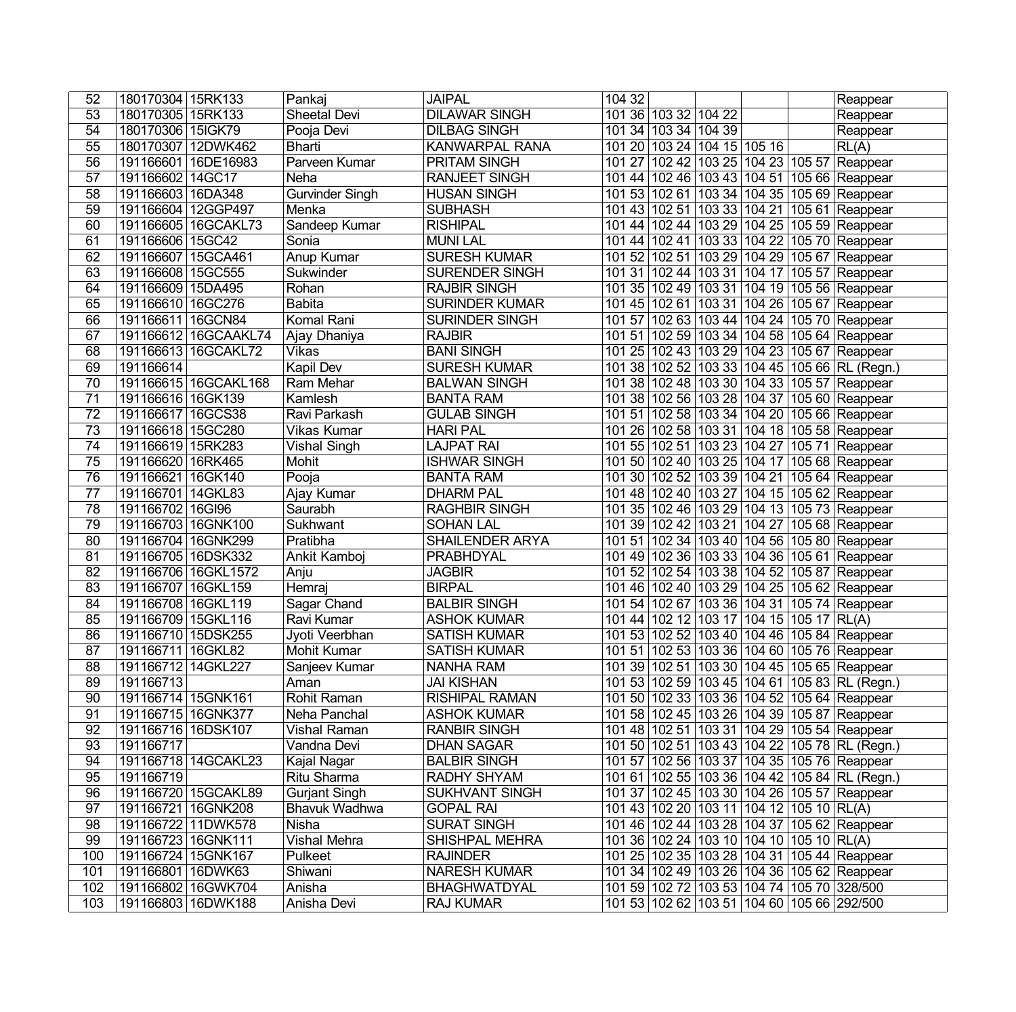| 52        | 180170304 15RK133                        | Pankaj                         | <b>JAIPAL</b>                        | 104 32                                                                                  | Reappear |
|-----------|------------------------------------------|--------------------------------|--------------------------------------|-----------------------------------------------------------------------------------------|----------|
| 53        | 180170305 15RK133                        | Sheetal Devi                   | <b>DILAWAR SINGH</b>                 | 101 36 103 32 104 22                                                                    | Reappear |
| 54        | 180170306 15IGK79                        | Pooja Devi                     | <b>DILBAG SINGH</b>                  | 101 34 103 34 104 39                                                                    | Reappear |
| 55        | 180170307 12DWK462                       | Bharti                         | <b>KANWARPAL RANA</b>                | 101 20 103 24 104 15 105 16                                                             | RL(A)    |
| 56        | 191166601 16DE16983                      | Parveen Kumar                  | <b>PRITAM SINGH</b>                  | 101 27 102 42 103 25 104 23 105 57 Reappear                                             |          |
| 57        | 191166602 14GC17                         | Neha                           | <b>RANJEET SINGH</b>                 | 101 44 102 46 103 43 104 51 105 66 Reappear                                             |          |
| 58        | 191166603 16DA348                        | <b>Gurvinder Singh</b>         | <b>HUSAN SINGH</b>                   | 101 53 102 61 103 34 104 35 105 69 Reappear                                             |          |
| 59        | 191166604 12GGP497                       | Menka                          | <b>SUBHASH</b>                       | 101 43 102 51 103 33 104 21 105 61 Reappear                                             |          |
| 60        | 191166605 16GCAKL73                      | Sandeep Kumar                  | <b>RISHIPAL</b>                      | 101 44 102 44 103 29 104 25 105 59 Reappear                                             |          |
| 61        | 191166606   15GC42                       | Sonia                          | <b>MUNI LAL</b>                      | 101 44 102 41 103 33 104 22 105 70 Reappear                                             |          |
| 62        | 191166607   15GCA461                     | Anup Kumar                     | <b>SURESH KUMAR</b>                  | 101 52 102 51 103 29 104 29 105 67 Reappear                                             |          |
| 63        | 191166608 15GC555                        | Sukwinder                      | <b>SURENDER SINGH</b>                | 101 31 102 44 103 31 104 17 105 57 Reappear                                             |          |
| 64        | 191166609 15DA495                        | Rohan                          | <b>RAJBIR SINGH</b>                  | 101 35 102 49 103 31 104 19 105 56 Reappear                                             |          |
| 65        | 191166610 16GC276                        | <b>Babita</b>                  | <b>SURINDER KUMAR</b>                | 101 45 102 61 103 31 104 26 105 67 Reappear                                             |          |
| 66        | 191166611 16GCN84                        | Komal Rani                     | SURINDER SINGH                       | 101 57 102 63 103 44 104 24 105 70 Reappear                                             |          |
| 67        | 191166612 16GCAAKL74                     | Ajay Dhaniya                   | <b>RAJBIR</b>                        | 101 51 102 59 103 34 104 58 105 64 Reappear                                             |          |
| 68        | 191166613 16GCAKL72                      | Vikas                          | <b>BANI SINGH</b>                    | 101 25 102 43 103 29 104 23 105 67 Reappear                                             |          |
| 69        | 191166614                                | <b>Kapil Dev</b>               | <b>SURESH KUMAR</b>                  | 101 38 102 52 103 33 104 45 105 66 RL (Regn.)                                           |          |
| 70        | 191166615 16GCAKL168                     | Ram Mehar                      | <b>BALWAN SINGH</b>                  | 101 38 102 48 103 30 104 33 105 57 Reappear                                             |          |
| 71        | 191166616 16GK139                        | Kamlesh                        | <b>BANTA RAM</b>                     | 101 38 102 56 103 28 104 37 105 60 Reappear                                             |          |
| 72        | 191166617   16GCS38                      | Ravi Parkash                   | <b>GULAB SINGH</b>                   | 101 51 102 58 103 34 104 20 105 66 Reappear                                             |          |
| 73        | 191166618 15GC280                        | Vikas Kumar                    | <b>HARI PAL</b>                      | 101 26 102 58 103 31 104 18 105 58 Reappear                                             |          |
| 74        | 191166619 15RK283                        | Vishal Singh                   | <b>LAJPAT RAI</b>                    | 101 55 102 51 103 23 104 27 105 71 Reappear                                             |          |
| 75        | 191166620 16RK465                        | Mohit                          | <b>ISHWAR SINGH</b>                  | 101 50 102 40 103 25 104 17 105 68 Reappear                                             |          |
| 76        | 191166621 16GK140                        | Pooja                          | <b>BANTA RAM</b>                     | 101 30 102 52 103 39 104 21 105 64 Reappear                                             |          |
| 77        | 191166701   14 GKL83                     | Ajay Kumar                     | <b>DHARM PAL</b>                     | 101 48 102 40 103 27 104 15 105 62 Reappear                                             |          |
| 78        | 191166702 16GI96                         | Saurabh                        | <b>RAGHBIR SINGH</b>                 | 101 35 102 46 103 29 104 13 105 73 Reappear                                             |          |
| 79        | 191166703 16GNK100                       | Sukhwant                       | <b>SOHAN LAL</b>                     | 101 39 102 42 103 21 104 27 105 68 Reappear                                             |          |
| 80        | 191166704 16GNK299                       | Pratibha                       | <b>SHAILENDER ARYA</b>               | 101 51 102 34 103 40 104 56 105 80 Reappear                                             |          |
| 81        | 191166705 16DSK332                       | Ankit Kamboj                   | <b>PRABHDYAL</b>                     | 101 49 102 36 103 33 104 36 105 61 Reappear                                             |          |
| 82        | 191166706 16GKL1572                      | Anju                           | <b>JAGBIR</b>                        | 101 52 102 54 103 38 104 52 105 87 Reappear                                             |          |
| 83        | 191166707 16GKL159                       | Hemraj                         | <b>BIRPAL</b>                        | 101 46 102 40 103 29 104 25 105 62 Reappear                                             |          |
| 84        | 191166708 16GKL119                       | Sagar Chand                    | <b>BALBIR SINGH</b>                  | 101 54 102 67 103 36 104 31 105 74 Reappear                                             |          |
| 85        | 191166709 15GKL116                       | Ravi Kumar                     | <b>ASHOK KUMAR</b>                   | 101 44 102 12 103 17 104 15 105 17 RL(A)                                                |          |
| 86        | 191166710 15DSK255                       | Jyoti Veerbhan                 | <b>SATISH KUMAR</b>                  | 101 53 102 52 103 40 104 46 105 84 Reappear                                             |          |
| 87        | 191166711 16GKL82                        | Mohit Kumar                    | <b>SATISH KUMAR</b>                  | 101 51 102 53 103 36 104 60 105 76 Reappear                                             |          |
| 88        | 191166712 14GKL227                       | Sanjeev Kumar                  | <b>NANHA RAM</b>                     | 101 39 102 51 103 30 104 45 105 65 Reappear                                             |          |
| 89        | 191166713                                | Aman                           | JAI KISHAN                           | 101 53 102 59 103 45 104 61 105 83 RL (Regn.)                                           |          |
| 90        | 191166714 15GNK161                       | Rohit Raman                    | <b>RISHIPAL RAMAN</b>                | 101 50 102 33 103 36 104 52 105 64 Reappear                                             |          |
| 91        | 191166715 16GNK377                       | Neha Panchal                   | <b>ASHOK KUMAR</b>                   | 101 58 102 45 103 26 104 39 105 87 Reappear                                             |          |
| 92        | 191166716 16DSK107                       | Vishal Raman                   | <b>RANBIR SINGH</b>                  | 101 48 102 51 103 31 104 29 105 54 Reappear                                             |          |
| 93        | 191166717                                | Vandna Devi                    | <b>DHAN SAGAR</b>                    | 101 50 102 51 103 43 104 22 105 78 RL (Regn.)                                           |          |
| 94        | 191166718 14GCAKL23                      | Kajal Nagar                    | <b>BALBIR SINGH</b>                  | 101 57 102 56 103 37 104 35 105 76 Reappear                                             |          |
| 95        | 191166719                                | Ritu Sharma                    | RADHY SHYAM                          | 101 61 102 55 103 36 104 42 105 84 RL (Regn.)                                           |          |
| 96        | 191166720 15GCAKL89                      | <b>Gurjant Singh</b>           | <b>SUKHVANT SINGH</b>                | 101 37 102 45 103 30 104 26 105 57 Reappear                                             |          |
| 97        | 191166721   16GNK208                     | Bhavuk Wadhwa                  | <b>GOPAL RAI</b>                     | 101 43 102 20 103 11 104 12 105 10 RL(A)                                                |          |
| 98        | 191166722 11DWK578                       | Nisha                          | <b>SURAT SINGH</b><br>SHISHPAL MEHRA | 101 46 102 44 103 28 104 37 105 62 Reappear                                             |          |
| 99<br>100 | 191166723 16GNK111<br>191166724 15GNK167 | <b>Vishal Mehra</b><br>Pulkeet | <b>RAJINDER</b>                      | 101 36 102 24 103 10 104 10 105 10 RL(A)<br>101 25 102 35 103 28 104 31 105 44 Reappear |          |
| 101       | 191166801 16DWK63                        | Shiwani                        | <b>NARESH KUMAR</b>                  | 101 34 102 49 103 26 104 36 105 62 Reappear                                             |          |
| 102       | 191166802 16GWK704                       | Anisha                         | <b>BHAGHWATDYAL</b>                  | 101 59 102 72 103 53 104 74 105 70 328/500                                              |          |
| 103       | 191166803 16DWK188                       | Anisha Devi                    | <b>RAJ KUMAR</b>                     | 101 53 102 62 103 51 104 60 105 66 292/500                                              |          |
|           |                                          |                                |                                      |                                                                                         |          |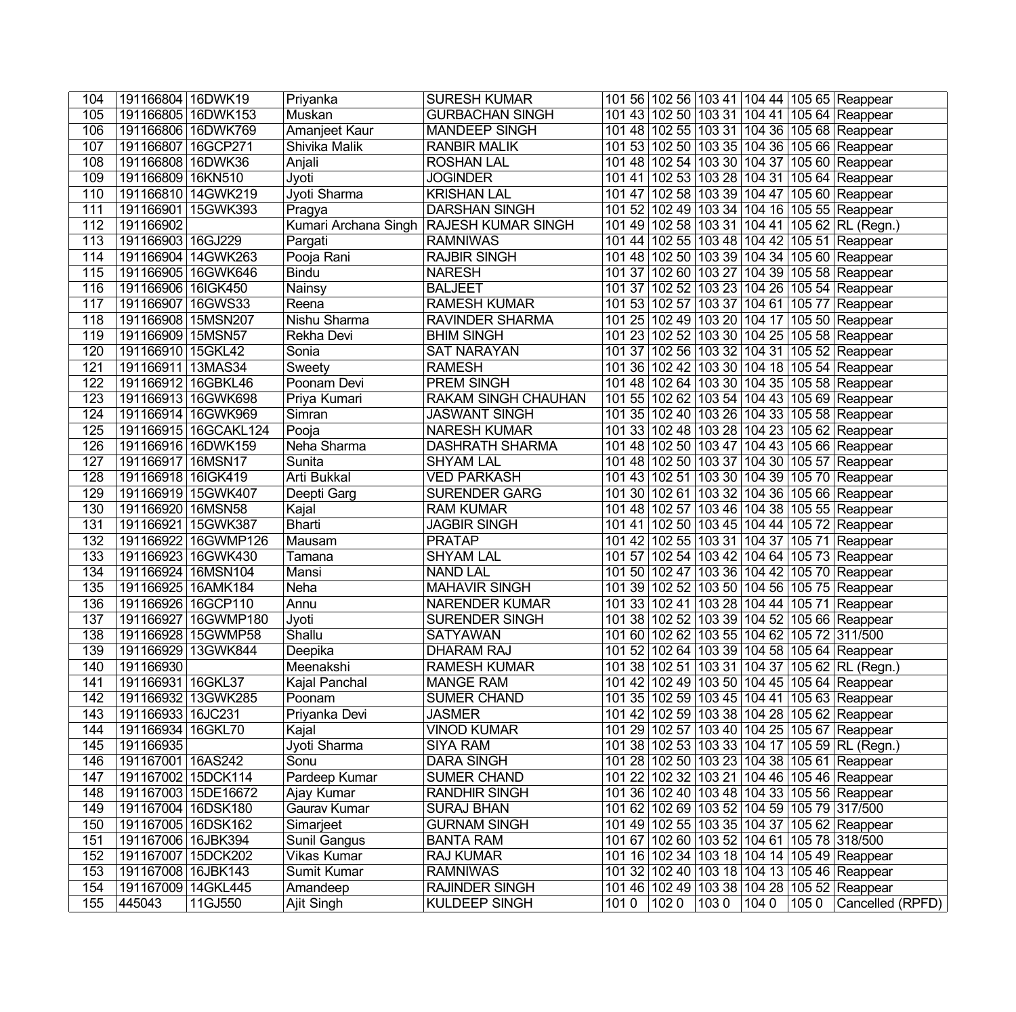| 104              | 191166804 16DWK19    |                      | Priyanka             | <b>SURESH KUMAR</b>        |      |       |       |             | 101 56 102 56 103 41 104 44 105 65 Reappear   |
|------------------|----------------------|----------------------|----------------------|----------------------------|------|-------|-------|-------------|-----------------------------------------------|
| 105              | 191166805 16DWK153   |                      | Muskan               | <b>GURBACHAN SINGH</b>     |      |       |       |             | 101 43 102 50 103 31 104 41 105 64 Reappear   |
| 106              | 191166806 16DWK769   |                      | Amanjeet Kaur        | <b>MANDEEP SINGH</b>       |      |       |       |             | 101 48 102 55 103 31 104 36 105 68 Reappear   |
| 107              | 191166807   16GCP271 |                      | Shivika Malik        | <b>RANBIR MALIK</b>        |      |       |       |             | 101 53 102 50 103 35 104 36 105 66 Reappear   |
| 108              | 191166808 16DWK36    |                      | Anjali               | <b>ROSHAN LAL</b>          |      |       |       |             | 101 48 102 54 103 30 104 37 105 60 Reappear   |
| 109              | 191166809 16KN510    |                      | Jyoti                | <b>JOGINDER</b>            |      |       |       |             | 101 41 102 53 103 28 104 31 105 64 Reappear   |
| 110              |                      | 191166810 14GWK219   | Jyoti Sharma         | <b>KRISHAN LAL</b>         |      |       |       |             | 101 47 102 58 103 39 104 47 105 60 Reappear   |
| 111              |                      | 191166901   15GWK393 | Pragya               | <b>DARSHAN SINGH</b>       |      |       |       |             | 101 52 102 49 103 34 104 16 105 55 Reappear   |
| 112              | 191166902            |                      | Kumari Archana Singh | <b>RAJESH KUMAR SINGH</b>  |      |       |       |             | 101 49 102 58 103 31 104 41 105 62 RL (Regn.) |
| 113              | 191166903 16GJ229    |                      | Pargati              | <b>RAMNIWAS</b>            |      |       |       |             | 101 44 102 55 103 48 104 42 105 51 Reappear   |
| 114              |                      | 191166904   14GWK263 | Pooja Rani           | <b>RAJBIR SINGH</b>        |      |       |       |             | 101 48 102 50 103 39 104 34 105 60 Reappear   |
| 115              | 191166905 16GWK646   |                      | <b>Bindu</b>         | <b>NARESH</b>              |      |       |       |             | 101 37 102 60 103 27 104 39 105 58 Reappear   |
| 116              | 191166906 16IGK450   |                      | Nainsy               | <b>BALJEET</b>             |      |       |       |             | 101 37 102 52 103 23 104 26 105 54 Reappear   |
| 117              | 191166907 16GWS33    |                      | Reena                | <b>RAMESH KUMAR</b>        |      |       |       |             | 101 53 102 57 103 37 104 61 105 77 Reappear   |
| 118              | 191166908 15MSN207   |                      | Nishu Sharma         | <b>RAVINDER SHARMA</b>     |      |       |       |             | 101 25 102 49 103 20 104 17 105 50 Reappear   |
| 119              | 191166909 15MSN57    |                      | Rekha Devi           | <b>BHIM SINGH</b>          |      |       |       |             | 101 23 102 52 103 30 104 25 105 58 Reappear   |
| 120              | 191166910 15GKL42    |                      | Sonia                | <b>SAT NARAYAN</b>         |      |       |       |             | 101 37 102 56 103 32 104 31 105 52 Reappear   |
| 121              | 191166911 13MAS34    |                      | Sweety               | <b>RAMESH</b>              |      |       |       |             | 101 36 102 42 103 30 104 18 105 54 Reappear   |
| 122              | 191166912 16GBKL46   |                      | Poonam Devi          | <b>PREM SINGH</b>          |      |       |       |             | 101 48 102 64 103 30 104 35 105 58 Reappear   |
| 123              | 191166913 16GWK698   |                      | Priya Kumari         | <b>RAKAM SINGH CHAUHAN</b> |      |       |       |             | 101 55 102 62 103 54 104 43 105 69 Reappear   |
| 124              | 191166914 16GWK969   |                      | Simran               | <b>JASWANT SINGH</b>       |      |       |       |             | 101 35 102 40 103 26 104 33 105 58 Reappear   |
| 125              |                      | 191166915 16GCAKL124 | Pooja                | <b>NARESH KUMAR</b>        |      |       |       |             | 101 33 102 48 103 28 104 23 105 62 Reappear   |
| 126              | 191166916 16DWK159   |                      | Neha Sharma          | <b>DASHRATH SHARMA</b>     |      |       |       |             | 101 48 102 50 103 47 104 43 105 66 Reappear   |
| 127              | 191166917   16MSN17  |                      | Sunita               | <b>SHYAM LAL</b>           |      |       |       |             | 101 48 102 50 103 37 104 30 105 57 Reappear   |
| 128              | 191166918 16IGK419   |                      | Arti Bukkal          | <b>VED PARKASH</b>         |      |       |       |             | 101 43 102 51 103 30 104 39 105 70 Reappear   |
| 129              |                      | 191166919 15GWK407   | Deepti Garg          | <b>SURENDER GARG</b>       |      |       |       |             | 101 30 102 61 103 32 104 36 105 66 Reappear   |
| 130              | 191166920 16MSN58    |                      | Kajal                | <b>RAM KUMAR</b>           |      |       |       |             | 101 48 102 57 103 46 104 38 105 55 Reappear   |
| 131              | 191166921 15GWK387   |                      | <b>Bharti</b>        | <b>JAGBIR SINGH</b>        |      |       |       |             | 101 41 102 50 103 45 104 44 105 72 Reappear   |
| 132              |                      | 191166922 16GWMP126  | Mausam               | <b>PRATAP</b>              |      |       |       |             | 101 42 102 55 103 31 104 37 105 71 Reappear   |
| 133              | 191166923 16GWK430   |                      | Tamana               | <b>SHYAM LAL</b>           |      |       |       |             | 101 57 102 54 103 42 104 64 105 73 Reappear   |
| 134              | 191166924 16MSN104   |                      | Mansi                | <b>NAND LAL</b>            |      |       |       |             | 101 50 102 47 103 36 104 42 105 70 Reappear   |
| 135              | 191166925 16AMK184   |                      | Neha                 | <b>MAHAVIR SINGH</b>       |      |       |       |             | 101 39 102 52 103 50 104 56 105 75 Reappear   |
| 136              | 191166926 16GCP110   |                      | Annu                 | <b>NARENDER KUMAR</b>      |      |       |       |             | 101 33 102 41 103 28 104 44 105 71 Reappear   |
| 137              |                      | 191166927 16GWMP180  | Jyoti                | <b>SURENDER SINGH</b>      |      |       |       |             | 101 38 102 52 103 39 104 52 105 66 Reappear   |
| 138              |                      | 191166928 15GWMP58   | Shallu               | <b>SATYAWAN</b>            |      |       |       |             | 101 60 102 62 103 55 104 62 105 72 311/500    |
| 139              | 191166929 13GWK844   |                      | Deepika              | <b>DHARAM RAJ</b>          |      |       |       |             | 101 52 102 64 103 39 104 58 105 64 Reappear   |
| $\overline{140}$ | 191166930            |                      | Meenakshi            | <b>RAMESH KUMAR</b>        |      |       |       |             | 101 38 102 51 103 31 104 37 105 62 RL (Regn.) |
| 141              | 191166931 16GKL37    |                      | Kajal Panchal        | <b>MANGE RAM</b>           |      |       |       |             | 101 42 102 49 103 50 104 45 105 64 Reappear   |
| 142              | 191166932 13GWK285   |                      | Poonam               | <b>SUMER CHAND</b>         |      |       |       |             | 101 35 102 59 103 45 104 41 105 63 Reappear   |
| 143              | 191166933 16JC231    |                      | Priyanka Devi        | <b>JASMER</b>              |      |       |       |             | 101 42 102 59 103 38 104 28 105 62 Reappear   |
| 144              | 191166934 16GKL70    |                      | Kajal                | VINOD KUMAR                |      |       |       |             | 101 29 102 57 103 40 104 25 105 67 Reappear   |
| 145              | 191166935            |                      | Jyoti Sharma         | <b>SIYA RAM</b>            |      |       |       |             | 101 38 102 53 103 33 104 17 105 59 RL (Regn.) |
| 146              | 191167001   16AS242  |                      | Sonu                 | <b>DARA SINGH</b>          |      |       |       |             | 101 28 102 50 103 23 104 38 105 61 Reappear   |
| 147              | 191167002 15DCK114   |                      | Pardeep Kumar        | <b>SUMER CHAND</b>         |      |       |       |             | 101 22 102 32 103 21 104 46 105 46 Reappear   |
| 148              | 191167003 15DE16672  |                      | Ajay Kumar           | <b>RANDHIR SINGH</b>       |      |       |       |             | 101 36 102 40 103 48 104 33 105 56 Reappear   |
| 149              | 191167004 16DSK180   |                      | Gaurav Kumar         | <b>SURAJ BHAN</b>          |      |       |       |             | 101 62 102 69 103 52 104 59 105 79 317/500    |
| 150              | 191167005 16DSK162   |                      | Simarjeet            | <b>GURNAM SINGH</b>        |      |       |       |             | 101 49 102 55 103 35 104 37 105 62 Reappear   |
| 151              | 191167006 16JBK394   |                      | Sunil Gangus         | <b>BANTA RAM</b>           |      |       |       |             | 101 67 102 60 103 52 104 61 105 78 318/500    |
| 152              | 191167007 15DCK202   |                      | Vikas Kumar          | <b>RAJ KUMAR</b>           |      |       |       |             | 101 16 102 34 103 18 104 14 105 49 Reappear   |
| 153              | 191167008 16JBK143   |                      | Sumit Kumar          | <b>RAMNIWAS</b>            |      |       |       |             | 101 32 102 40 103 18 104 13 105 46 Reappear   |
| 154              | 191167009 14GKL445   |                      | Amandeep             | <b>RAJINDER SINGH</b>      |      |       |       |             | 101 46 102 49 103 38 104 28 105 52 Reappear   |
| 155              | 445043               | 11GJ550              | <b>Ajit Singh</b>    | <b>KULDEEP SINGH</b>       | 1010 | 102 0 | 103 0 | 104 0 105 0 | Cancelled (RPFD)                              |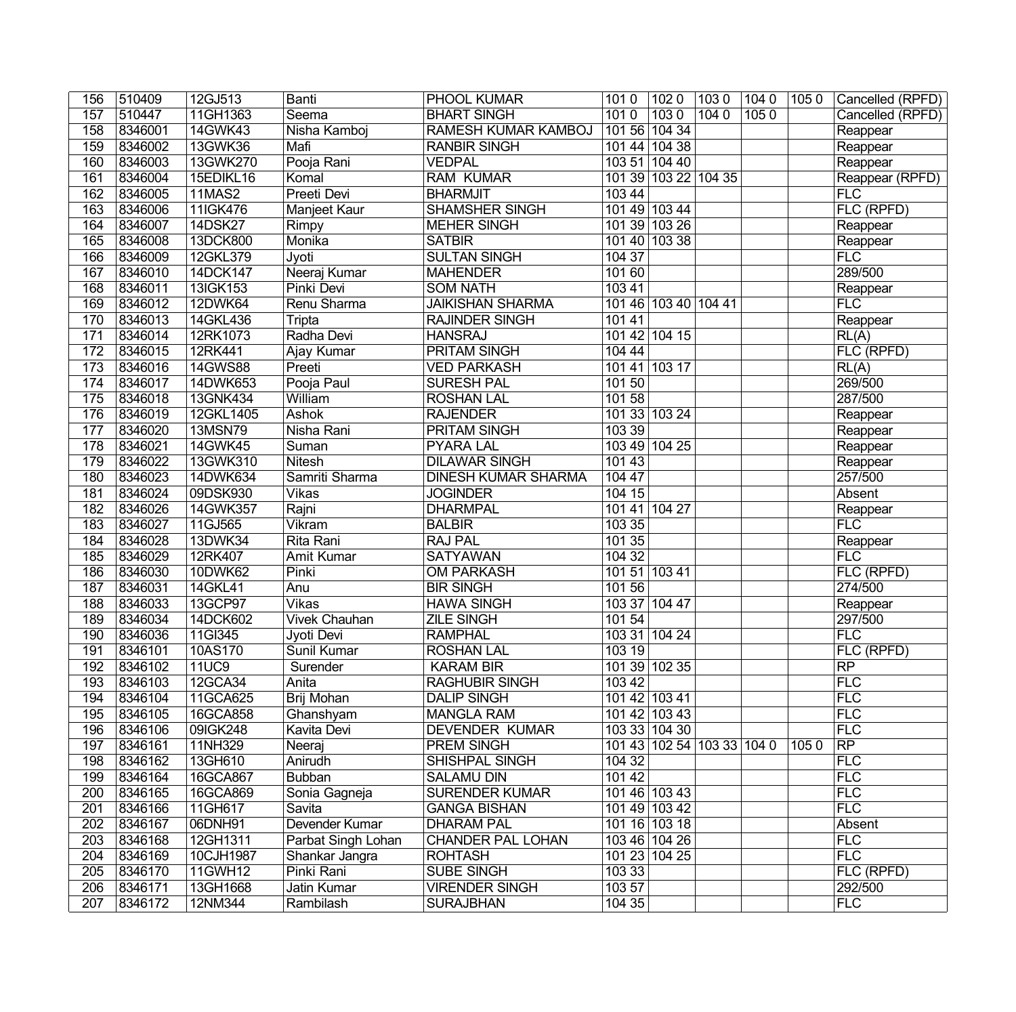| 156              | 510409  | 12GJ513        | Banti                | <b>PHOOL KUMAR</b>         | 1010   | 1020                 | 1030                       | 104 0 105 0 |      | Cancelled (RPFD)   |
|------------------|---------|----------------|----------------------|----------------------------|--------|----------------------|----------------------------|-------------|------|--------------------|
| 157              | 510447  | 11GH1363       | Seema                | <b>BHART SINGH</b>         | 1010   | 1030                 | 1040                       | 1050        |      | Cancelled (RPFD)   |
| 158              | 8346001 | 14GWK43        | Nisha Kamboj         | RAMESH KUMAR KAMBOJ        |        | 101 56 104 34        |                            |             |      | Reappear           |
| 159              | 8346002 | 13GWK36        | Mafi                 | <b>RANBIR SINGH</b>        | 101 44 | 104 38               |                            |             |      | Reappear           |
| 160              | 8346003 | 13GWK270       | Pooja Rani           | <b>VEDPAL</b>              |        | 103 51 104 40        |                            |             |      | Reappear           |
| 161              | 8346004 | 15EDIKL16      | Komal                | <b>RAM KUMAR</b>           |        | 101 39 103 22 104 35 |                            |             |      | Reappear (RPFD)    |
| 162              | 8346005 | <b>11MAS2</b>  | <b>Preeti Devi</b>   | <b>BHARMJIT</b>            | 103 44 |                      |                            |             |      | FLC                |
| 163              | 8346006 | 11IGK476       | Manjeet Kaur         | <b>SHAMSHER SINGH</b>      |        | 101 49 103 44        |                            |             |      | FLC (RPFD)         |
| 164              | 8346007 | 14DSK27        | Rimpy                | <b>MEHER SINGH</b>         |        | 101 39 103 26        |                            |             |      | Reappear           |
| 165              | 8346008 | 13DCK800       | Monika               | <b>SATBIR</b>              |        | 101 40 103 38        |                            |             |      | Reappear           |
| 166              | 8346009 | 12GKL379       | Jyoti                | <b>SULTAN SINGH</b>        | 104 37 |                      |                            |             |      | FLC                |
| 167              | 8346010 | 14DCK147       | Neeraj Kumar         | <b>MAHENDER</b>            | 101 60 |                      |                            |             |      | 289/500            |
| 168              | 8346011 | 13IGK153       | <b>Pinki Devi</b>    | <b>SOM NATH</b>            | 10341  |                      |                            |             |      | Reappear           |
| 169              | 8346012 | <b>12DWK64</b> | Renu Sharma          | <b>JAIKISHAN SHARMA</b>    |        | 101 46 103 40 104 41 |                            |             |      | FLC                |
| 170              | 8346013 | 14GKL436       | Tripta               | <b>RAJINDER SINGH</b>      | 101 41 |                      |                            |             |      | Reappear           |
| 171              | 8346014 | 12RK1073       | Radha Devi           | <b>HANSRAJ</b>             |        | 101 42 104 15        |                            |             |      | RL(A)              |
| 172              | 8346015 | 12RK441        | Ajay Kumar           | <b>PRITAM SINGH</b>        | 104 44 |                      |                            |             |      | FLC (RPFD)         |
| 173              | 8346016 | 14GWS88        | Preeti               | <b>VED PARKASH</b>         |        | 101 41 103 17        |                            |             |      | $\overline{RL(A)}$ |
| 174              | 8346017 | 14DWK653       | Pooja Paul           | <b>SURESH PAL</b>          | 101 50 |                      |                            |             |      | 269/500            |
| 175              | 8346018 | 13GNK434       | William              | <b>ROSHAN LAL</b>          | 10158  |                      |                            |             |      | 287/500            |
| 176              | 8346019 | 12GKL1405      | <b>Ashok</b>         | <b>RAJENDER</b>            |        | 101 33 103 24        |                            |             |      | Reappear           |
| 177              | 8346020 | <b>13MSN79</b> | Nisha Rani           | PRITAM SINGH               | 103 39 |                      |                            |             |      | Reappear           |
| $\overline{178}$ | 8346021 | 14GWK45        | Suman                | <b>PYARA LAL</b>           | 103 49 | 104 25               |                            |             |      | Reappear           |
| 179              | 8346022 | 13GWK310       | <b>Nitesh</b>        | <b>DILAWAR SINGH</b>       | 10143  |                      |                            |             |      | Reappear           |
| 180              | 8346023 | 14DWK634       | Samriti Sharma       | <b>DINESH KUMAR SHARMA</b> | 104 47 |                      |                            |             |      | 257/500            |
| 181              | 8346024 | 09DSK930       | <b>Vikas</b>         | <b>JOGINDER</b>            | 104 15 |                      |                            |             |      | Absent             |
| 182              | 8346026 | 14GWK357       | Rajni                | <b>DHARMPAL</b>            |        | 101 41 104 27        |                            |             |      | Reappear           |
| 183              | 8346027 | 11GJ565        | Vikram               | <b>BALBIR</b>              | 103 35 |                      |                            |             |      | FLC                |
| 184              | 8346028 | 13DWK34        | Rita Rani            | <b>RAJ PAL</b>             | 10135  |                      |                            |             |      | Reappear           |
| 185              | 8346029 | 12RK407        | <b>Amit Kumar</b>    | <b>SATYAWAN</b>            | 10432  |                      |                            |             |      | FLC                |
| 186              | 8346030 | 10DWK62        | Pinki                | <b>OM PARKASH</b>          |        | 101 51 103 41        |                            |             |      | FLC (RPFD)         |
| 187              | 8346031 | 14GKL41        | Anu                  | <b>BIR SINGH</b>           | 101 56 |                      |                            |             |      | 274/500            |
| 188              | 8346033 | 13GCP97        | <b>Vikas</b>         | <b>HAWA SINGH</b>          | 10337  | 104 47               |                            |             |      | Reappear           |
| 189              | 8346034 | 14DCK602       | <b>Vivek Chauhan</b> | <b>ZILE SINGH</b>          | 101 54 |                      |                            |             |      | 297/500            |
| 190              | 8346036 | 11GI345        | Jyoti Devi           | <b>RAMPHAL</b>             |        | 103 31 104 24        |                            |             |      | FLC                |
| 191              | 8346101 | 10AS170        | Sunil Kumar          | <b>ROSHAN LAL</b>          | 10319  |                      |                            |             |      | FLC (RPFD)         |
| $\overline{192}$ | 8346102 | 11UC9          | Surender             | <b>KARAM BIR</b>           |        | 101 39 102 35        |                            |             |      | RP                 |
| 193              | 8346103 | 12GCA34        | Anita                | <b>RAGHUBIR SINGH</b>      | 103 42 |                      |                            |             |      | FLC                |
| 194              | 8346104 | 11GCA625       | Brij Mohan           | <b>DALIP SINGH</b>         |        | 101 42 103 41        |                            |             |      | FLC                |
| 195              | 8346105 | 16GCA858       | Ghanshyam            | <b>MANGLA RAM</b>          |        | 101 42 103 43        |                            |             |      | FLC                |
| 196              | 8346106 | 09IGK248       | Kavita Devi          | <b>DEVENDER KUMAR</b>      |        | 103 33 104 30        |                            |             |      | FLC                |
| 197              | 8346161 | 11NH329        | Neeraj               | <b>PREM SINGH</b>          |        |                      | 101 43 102 54 103 33 104 0 |             | 1050 | RP                 |
| 198              | 8346162 | 13GH610        | Anirudh              | SHISHPAL SINGH             | 104 32 |                      |                            |             |      | FLC                |
| 199              | 8346164 | 16GCA867       | <b>Bubban</b>        | <b>SALAMU DIN</b>          | 101 42 |                      |                            |             |      | FLC                |
| 200              | 8346165 | 16GCA869       | Sonia Gagneja        | <b>SURENDER KUMAR</b>      |        | 101 46 103 43        |                            |             |      | FLC                |
| 201              | 8346166 | 11GH617        | Savita               | <b>GANGA BISHAN</b>        |        | 101 49 103 42        |                            |             |      | FLC                |
| 202              | 8346167 | 06DNH91        | Devender Kumar       | <b>DHARAM PAL</b>          |        | 101 16 103 18        |                            |             |      | Absent             |
| 203              | 8346168 | 12GH1311       | Parbat Singh Lohan   | <b>CHANDER PAL LOHAN</b>   |        | 103 46 104 26        |                            |             |      | FLC                |
| 204              | 8346169 | 10CJH1987      | Shankar Jangra       | <b>ROHTASH</b>             |        | 101 23 104 25        |                            |             |      | FLC                |
| 205              | 8346170 | 11GWH12        | Pinki Rani           | <b>SUBE SINGH</b>          | 103 33 |                      |                            |             |      | FLC (RPFD)         |
| 206              | 8346171 | 13GH1668       | Jatin Kumar          | <b>VIRENDER SINGH</b>      | 103 57 |                      |                            |             |      | 292/500            |
| 207              | 8346172 | 12NM344        | Rambilash            | <b>SURAJBHAN</b>           | 10435  |                      |                            |             |      | FLC                |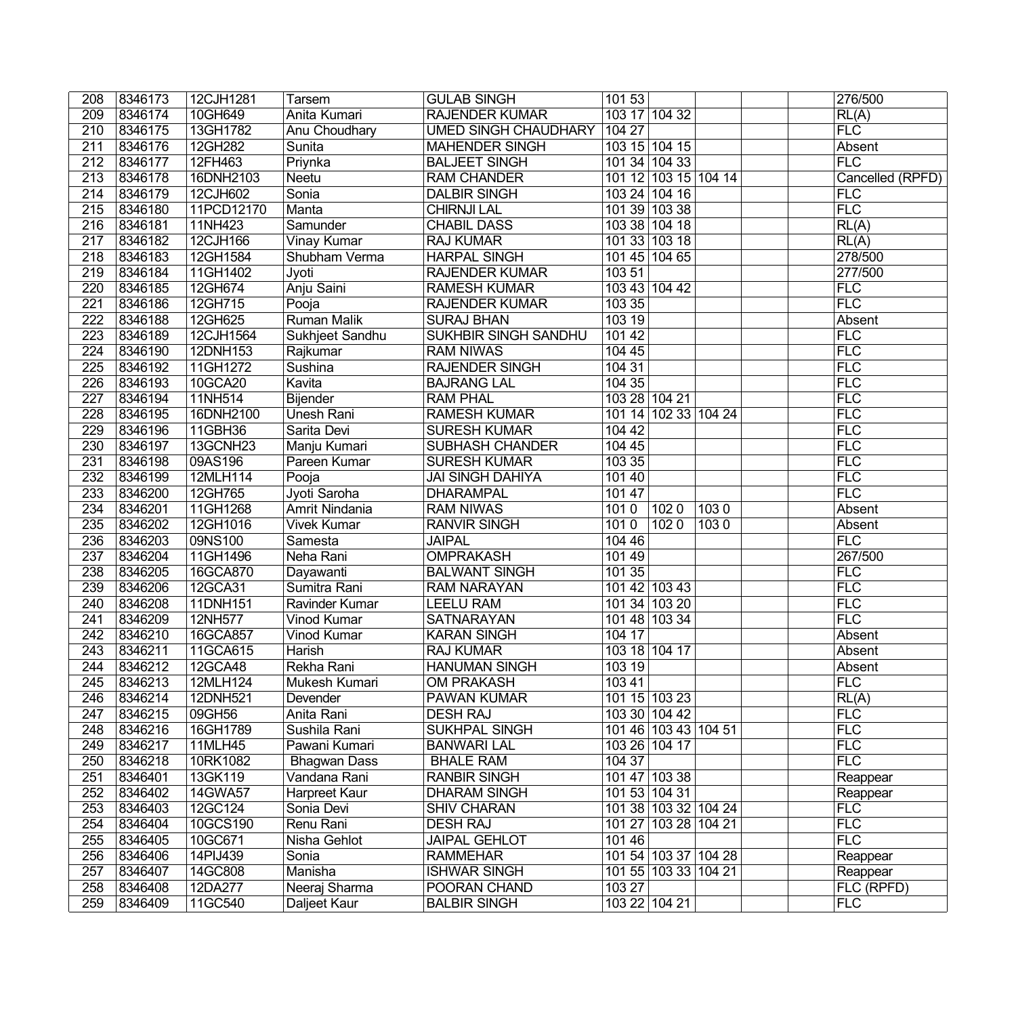| 208              | 8346173 | 12CJH1281  | Tarsem              | <b>GULAB SINGH</b>          | 10153         |                      |      | 276/500          |
|------------------|---------|------------|---------------------|-----------------------------|---------------|----------------------|------|------------------|
| 209              | 8346174 | 10GH649    | Anita Kumari        | <b>RAJENDER KUMAR</b>       |               | 103 17 104 32        |      | RL(A)            |
| 210              | 8346175 | 13GH1782   | Anu Choudhary       | <b>UMED SINGH CHAUDHARY</b> | 104 27        |                      |      | FLC              |
| 211              | 8346176 | 12GH282    | Sunita              | <b>MAHENDER SINGH</b>       |               | 103 15 104 15        |      | Absent           |
| $\overline{212}$ | 8346177 | 12FH463    | Priynka             | <b>BALJEET SINGH</b>        |               | 101 34 104 33        |      | FLC              |
| $\overline{213}$ | 8346178 | 16DNH2103  | <b>Neetu</b>        | <b>RAM CHANDER</b>          |               | 101 12 103 15 104 14 |      | Cancelled (RPFD) |
| 214              | 8346179 | 12CJH602   | Sonia               | <b>DALBIR SINGH</b>         |               | 103 24 104 16        |      | <b>FLC</b>       |
| 215              | 8346180 | 11PCD12170 | Manta               | <b>CHIRNJI LAL</b>          |               | 101 39 103 38        |      | FLC              |
| 216              | 8346181 | 11NH423    | Samunder            | <b>CHABIL DASS</b>          |               | 103 38 104 18        |      | RL(A)            |
| 217              | 8346182 | 12CJH166   | Vinay Kumar         | <b>RAJ KUMAR</b>            |               | 101 33 103 18        |      | RL(A)            |
| 218              | 8346183 | 12GH1584   | Shubham Verma       | <b>HARPAL SINGH</b>         |               | 101 45 104 65        |      | 278/500          |
| 219              | 8346184 | 11GH1402   | Jyoti               | <b>RAJENDER KUMAR</b>       | 103 51        |                      |      | 277/500          |
| 220              | 8346185 | 12GH674    | Anju Saini          | <b>RAMESH KUMAR</b>         |               | 103 43 104 42        |      | FLC              |
| 221              | 8346186 | 12GH715    | Pooja               | <b>RAJENDER KUMAR</b>       | 103 35        |                      |      | FLC              |
| 222              | 8346188 | 12GH625    | <b>Ruman Malik</b>  | <b>SURAJ BHAN</b>           | 103 19        |                      |      | Absent           |
| $\overline{223}$ | 8346189 | 12CJH1564  | Sukhjeet Sandhu     | <b>SUKHBIR SINGH SANDHU</b> | 10142         |                      |      | FLC              |
| 224              | 8346190 | 12DNH153   | Rajkumar            | <b>RAM NIWAS</b>            | 104 45        |                      |      | FLC              |
| 225              | 8346192 | 11GH1272   | Sushina             | <b>RAJENDER SINGH</b>       | 10431         |                      |      | FLC              |
| 226              | 8346193 | 10GCA20    | Kavita              | <b>BAJRANG LAL</b>          | 10435         |                      |      | FLC              |
| $\overline{227}$ | 8346194 | 11NH514    | Bijender            | <b>RAM PHAL</b>             | 103 28 104 21 |                      |      | FLC              |
| 228              | 8346195 | 16DNH2100  | <b>Unesh Rani</b>   | <b>RAMESH KUMAR</b>         |               | 101 14 102 33 104 24 |      | FLC              |
| 229              | 8346196 | 11GBH36    | Sarita Devi         | <b>SURESH KUMAR</b>         | 104 42        |                      |      | FLC              |
| $\overline{230}$ | 8346197 | 13GCNH23   | Manju Kumari        | <b>SUBHASH CHANDER</b>      | 104 45        |                      |      | FLC              |
| 231              | 8346198 | 09AS196    | Pareen Kumar        | <b>SURESH KUMAR</b>         | 103 35        |                      |      | FLC              |
| 232              | 8346199 | 12MLH114   | Pooja               | <b>JAI SINGH DAHIYA</b>     | 101 40        |                      |      | FLC              |
| 233              | 8346200 | 12GH765    | Jyoti Saroha        | <b>DHARAMPAL</b>            | 101 47        |                      |      | <b>FLC</b>       |
| 234              | 8346201 | 11GH1268   | Amrit Nindania      | <b>RAM NIWAS</b>            | 1010          | 1020                 | 1030 | Absent           |
| 235              | 8346202 | 12GH1016   | <b>Vivek Kumar</b>  | <b>RANVIR SINGH</b>         | 1010          | 1020                 | 1030 | Absent           |
| 236              | 8346203 | 09NS100    | Samesta             | <b>JAIPAL</b>               | 104 46        |                      |      | FLC              |
| $\overline{237}$ | 8346204 | 11GH1496   | Neha Rani           | <b>OMPRAKASH</b>            | 101 49        |                      |      | 267/500          |
| 238              | 8346205 | 16GCA870   | Dayawanti           | <b>BALWANT SINGH</b>        | 101 35        |                      |      | FLC              |
| 239              | 8346206 | 12GCA31    | Sumitra Rani        | <b>RAM NARAYAN</b>          |               | 101 42 103 43        |      | FLC              |
| 240              | 8346208 | 11DNH151   | Ravinder Kumar      | <b>LEELU RAM</b>            |               | 101 34 103 20        |      | FLC              |
| 241              | 8346209 | 12NH577    | Vinod Kumar         | <b>SATNARAYAN</b>           |               | 101 48 103 34        |      | FLC              |
| 242              | 8346210 | 16GCA857   | Vinod Kumar         | <b>KARAN SINGH</b>          | 104 17        |                      |      | Absent           |
| 243              | 8346211 | 11GCA615   | Harish              | <b>RAJ KUMAR</b>            | 103 18 104 17 |                      |      | Absent           |
| $\overline{244}$ | 8346212 | 12GCA48    | Rekha Rani          | <b>HANUMAN SINGH</b>        | 10319         |                      |      | Absent           |
| 245              | 8346213 | 12MLH124   | Mukesh Kumari       | <b>OM PRAKASH</b>           | 103 41        |                      |      | FLC              |
| 246              | 8346214 | 12DNH521   | Devender            | <b>PAWAN KUMAR</b>          |               | 101 15 103 23        |      | RL(A)            |
| 247              | 8346215 | 09GH56     | Anita Rani          | <b>DESH RAJ</b>             |               | 103 30 104 42        |      | <b>FLC</b>       |
| 248              | 8346216 | 16GH1789   | Sushila Rani        | <b>SUKHPAL SINGH</b>        |               | 101 46 103 43 104 51 |      | FLC              |
| 249              | 8346217 | 11MLH45    | Pawani Kumari       | <b>BANWARI LAL</b>          |               | 103 26 104 17        |      | FLC              |
| 250              | 8346218 | 10RK1082   | <b>Bhagwan Dass</b> | <b>BHALE RAM</b>            | 104 37        |                      |      | FLC              |
| 251              | 8346401 | 13GK119    | Vandana Rani        | <b>RANBIR SINGH</b>         |               | 101 47 103 38        |      | Reappear         |
| 252              | 8346402 | 14GWA57    | Harpreet Kaur       | <b>DHARAM SINGH</b>         |               | 101 53 104 31        |      | Reappear         |
| 253              | 8346403 | 12GC124    | Sonia Devi          | <b>SHIV CHARAN</b>          |               | 101 38 103 32 104 24 |      | <b>FLC</b>       |
| 254              | 8346404 | 10GCS190   | Renu Rani           | <b>DESH RAJ</b>             | 101 27        | 103 28 104 21        |      | FLC              |
| 255              | 8346405 | 10GC671    | Nisha Gehlot        | <b>JAIPAL GEHLOT</b>        | 101 46        |                      |      | FLC              |
| 256              | 8346406 | 14PIJ439   | Sonia               | <b>RAMMEHAR</b>             |               | 101 54 103 37 104 28 |      | Reappear         |
| 257              | 8346407 | 14GC808    | Manisha             | <b>ISHWAR SINGH</b>         |               | 101 55 103 33 104 21 |      | Reappear         |
| 258              | 8346408 | 12DA277    | Neeraj Sharma       | <b>POORAN CHAND</b>         | 10327         |                      |      | FLC (RPFD)       |
| 259              | 8346409 | 11GC540    | Daljeet Kaur        | <b>BALBIR SINGH</b>         |               | 103 22 104 21        |      | <b>FLC</b>       |